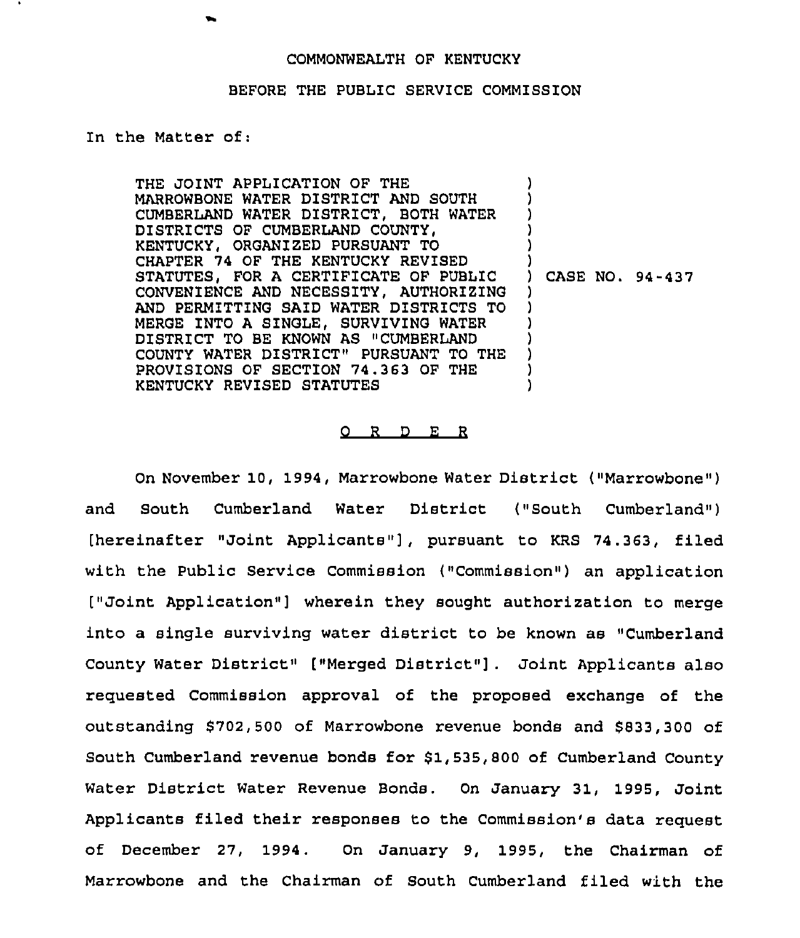## BEFORE THE PUBLIC SERVICE COMMISSION

## In the Matter of:

THE JOINT APPLICATION OF THE MARROWBONE WATER DISTRICT AND SOUTH CUMBERLAND WATER DISTRICT, BOTH WATER DISTRICTS OF CUMBERLAND COUNTY, KENTUCKY, ORGANIZED PURSUANT TO CHAPTER 74 OF THE KENTUCKY REVISED STATUTES, FOR A CERTIFICATE OF PUBLIC CONVENIENCE AND NECESSITY, AUTHORIZING AND PERMITTING SAID WATER DISTRICTS TO MERGE INTO A SINGLE, SURVIVING WATER DISTRICT TO BE KNOWN AS "CUMBERLAND COUNTY WATER DISTRICT" PURSUANT TO THE PROVISIONS OF SECTION 74.363 OF THE KENTUCKY REVISED STATUTES ) ) ) ) ) ) ) CASE NO. 94-437 ) ) ) ) ) ) )

## 0 <sup>R</sup> <sup>D</sup> E <sup>R</sup>

On November 10, 1994, Marrowbone Water District ("Marrowbone" ) and South Cumberland Water District ("South Cumberland") [hereinafter "Joint Applicants"], pursuant to KRS 74.363, filed with the Public Service Commission ("Commission") an application ["Joint Application"] wherein they sought authorization to merge into a single surviving water district to be known as "Cumberland County Water District" ["Merged District"] . Joint Applicants also requested Commission approval of the proposed exchange of the outstanding \$702,500 of Marrowbone revenue bonds and \$833,300 of South Cumberland revenue bonds for \$1,535,800 of Cumberland County Water District Water Revenue Bonds. On January 31, 1995, Joint Applicants filed their responses to the Commission's data request of December 27, 1994. On January 9, 1995, the Chairman of Marrowbone and the Chairman of South Cumberland filed with the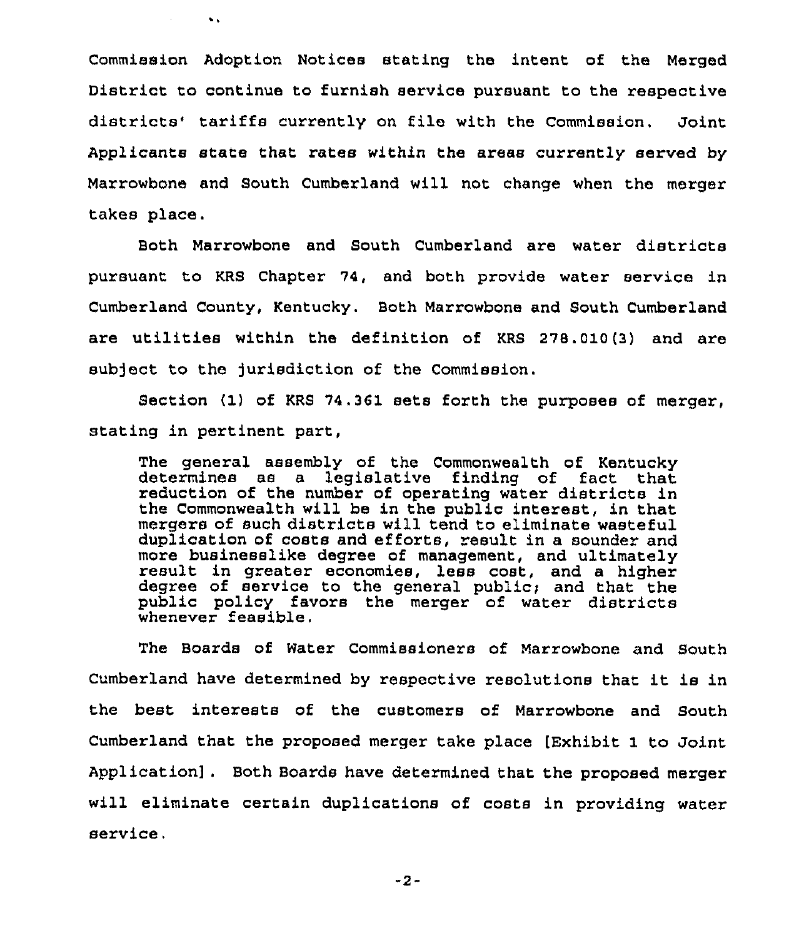Commission Adoption Notices stating the intent of the Merged District to continue to furnish service pursuant to the respective districts' tariffs currently on file with the Commission. Joint Applicants state that rates within the areas currently served by Marrowbone and South Cumberland will not change when the merger takes place.

 $\sim$ 

 $\mathbf{v}$  .

Both Marrowbone and South Cumberland are water districts pursuant to KRS Chapter 74, and both provide water service in Cumberland County, Kentucky. Both Marrowbone and South Cumberland are utilities within the definition of KRS 278.010(3) and are subject to the jurisdiction of the Commission.

Section (1) of KRS 74.361 sets forth the purposes of merger, stating in pertinent part,

The general assembly of the Commonwealth of Kentucky determines as a legislative finding of fact that reduction of the number of operating water districts in the Commonwealth will be in the public interest, in that mergers of such districts will tend to eliminate wasteful duplication of costs and efforts, result in a sounder and more businesslike degree of management, and ultimately result in greater economies, less cost, and a higher degree of service to the general public; and that the public policy favors the merger of water districts whenever feasible.

The Boards of Water Commissioners of Marrowbone and South Cumberland have determined by respective resolutions that it is in the best interests of the customers of Marrowbone and South Cumberland that the proposed merger take place [Exhibit 1 to Joint Application] . Both Boards have determined that the proposed merger will eliminate certain duplications of costs in providing water service,

-2-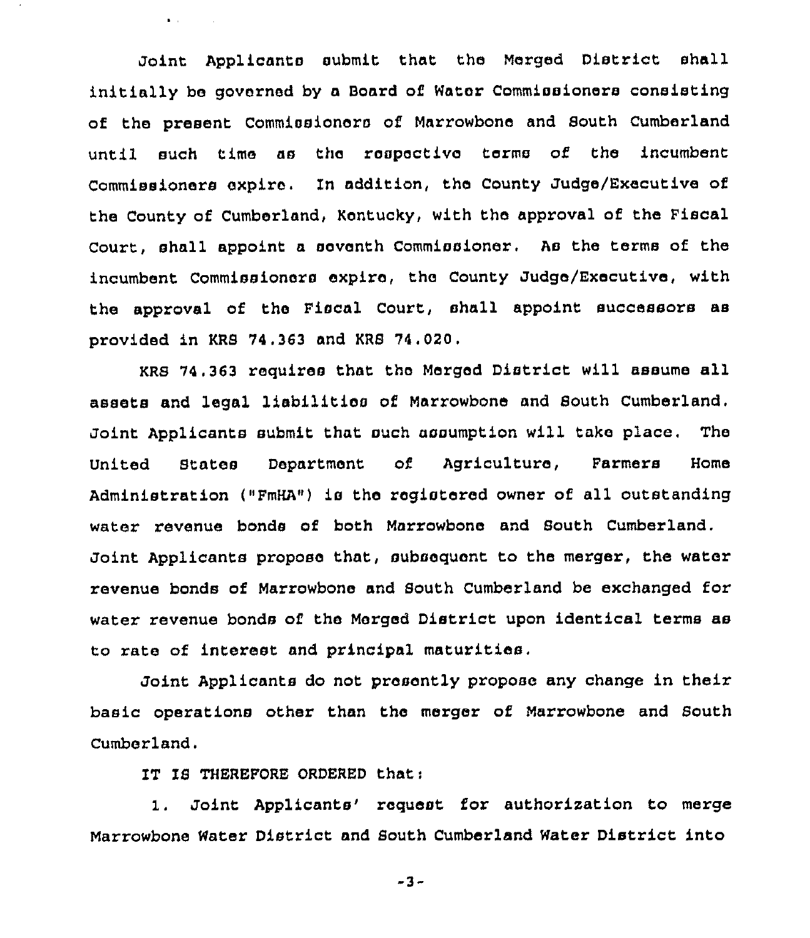Joint Applicants submit that the Merged District shall initially be governed by a Board of Water Commissioners consisting of the present Commissioners of Marrowbone and South Cumberland until such time as the respective terms of the incumbent Commissioners expire. In addition, the County Judge/Executive of the County of Cumberland, Kentucky, with the approval of the Fiscal Court, shall appoint a seventh Commissioner. As the terms of the incumbent Commissioners expire, the County Judge/Executive, with the approval of the Fiscal Court, shall appoint successors as provided in KRS 74.363 and KRB 74.020.

KRS 74.363 requires that the Merged District will assume all assets and legal liabilities of Marrowbone and Bouth Cumberland. Joint Applicants submit that such assumption will take place. The United States Department of Agriculture, Farmers Home Administration ("FmHA") is the registered owner of all outstanding water revenue bonds of both Marrowbone and South Cumberland. Joint Applicants propose that, subsequent to the merger, the water revenue bonds of Marrowbone and South Cumberland be exchanged for water revenue bonds of the Merged District upon identical terms as to race of interest and principal maturities.

Joint Applicants do not presently propose any change in their basic operations other than the merger of Marrowbone and Bouth Cumberland.

IT IS THEREFORE ORDERED that:

 $\bullet$  and  $\bullet$  and  $\bullet$ 

1. Joint Applicants' request for authorization to merge Marrowbone Water District and South Cumberland Water District into

-3-